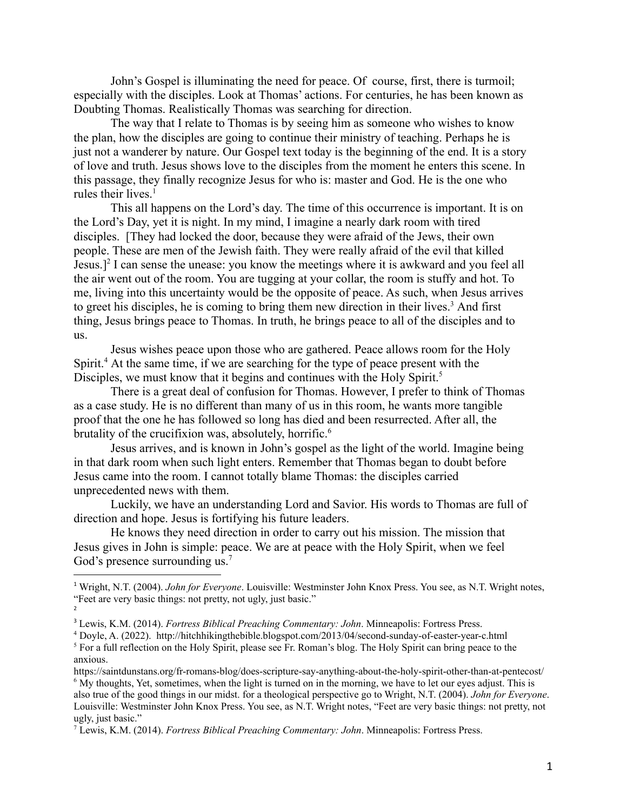John's Gospel is illuminating the need for peace. Of course, first, there is turmoil; especially with the disciples. Look at Thomas' actions. For centuries, he has been known as Doubting Thomas. Realistically Thomas was searching for direction.

The way that I relate to Thomas is by seeing him as someone who wishes to know the plan, how the disciples are going to continue their ministry of teaching. Perhaps he is just not a wanderer by nature. Our Gospel text today is the beginning of the end. It is a story of love and truth. Jesus shows love to the disciples from the moment he enters this scene. In this passage, they finally recognize Jesus for who is: master and God. He is the one who rules their lives.<sup>1</sup>

This all happens on the Lord's day. The time of this occurrence is important. It is on the Lord's Day, yet it is night. In my mind, I imagine a nearly dark room with tired disciples. [They had locked the door, because they were afraid of the Jews, their own people. These are men of the Jewish faith. They were really afraid of the evil that killed Jesus.]<sup>2</sup> I can sense the unease: you know the meetings where it is awkward and you feel all the air went out of the room. You are tugging at your collar, the room is stuffy and hot. To me, living into this uncertainty would be the opposite of peace. As such, when Jesus arrives to greet his disciples, he is coming to bring them new direction in their lives.<sup>3</sup> And first thing, Jesus brings peace to Thomas. In truth, he brings peace to all of the disciples and to us.

Jesus wishes peace upon those who are gathered. Peace allows room for the Holy Spirit.<sup>4</sup> At the same time, if we are searching for the type of peace present with the Disciples, we must know that it begins and continues with the Holy Spirit.<sup>5</sup>

There is a great deal of confusion for Thomas. However, I prefer to think of Thomas as a case study. He is no different than many of us in this room, he wants more tangible proof that the one he has followed so long has died and been resurrected. After all, the brutality of the crucifixion was, absolutely, horrific.<sup>6</sup>

Jesus arrives, and is known in John's gospel as the light of the world. Imagine being in that dark room when such light enters. Remember that Thomas began to doubt before Jesus came into the room. I cannot totally blame Thomas: the disciples carried unprecedented news with them.

Luckily, we have an understanding Lord and Savior. His words to Thomas are full of direction and hope. Jesus is fortifying his future leaders.

He knows they need direction in order to carry out his mission. The mission that Jesus gives in John is simple: peace. We are at peace with the Holy Spirit, when we feel God's presence surrounding us.<sup>7</sup>

<sup>2</sup> <sup>1</sup> Wright, N.T. (2004). *John for Everyone*. Louisville: Westminster John Knox Press. You see, as N.T. Wright notes, "Feet are very basic things: not pretty, not ugly, just basic."

<sup>3</sup> Lewis, K.M. (2014). *Fortress Biblical Preaching Commentary: John*. Minneapolis: Fortress Press.

<sup>&</sup>lt;sup>5</sup> For a full reflection on the Holy Spirit, please see Fr. Roman's blog. The Holy Spirit can bring peace to the anxious. <sup>4</sup> Doyle, A. (2022). http://hitchhikingthebible.blogspot.com/2013/04/second-sunday-of-easter-year-c.html

 $6$  My thoughts. Yet, sometimes, when the light is turned on in the morning, we have to let our eves adjust. This is also true of the good things in our midst. for a theological perspective go to Wright, N.T. (2004). *John for Everyone*. Louisville: Westminster John Knox Press. You see, as N.T. Wright notes, "Feet are very basic things: not pretty, not ugly, just basic." https://saintdunstans.org/fr-romans-blog/does-scripture-say-anything-about-the-holy-spirit-other-than-at-pentecost/

<sup>7</sup> Lewis, K.M. (2014). *Fortress Biblical Preaching Commentary: John*. Minneapolis: Fortress Press.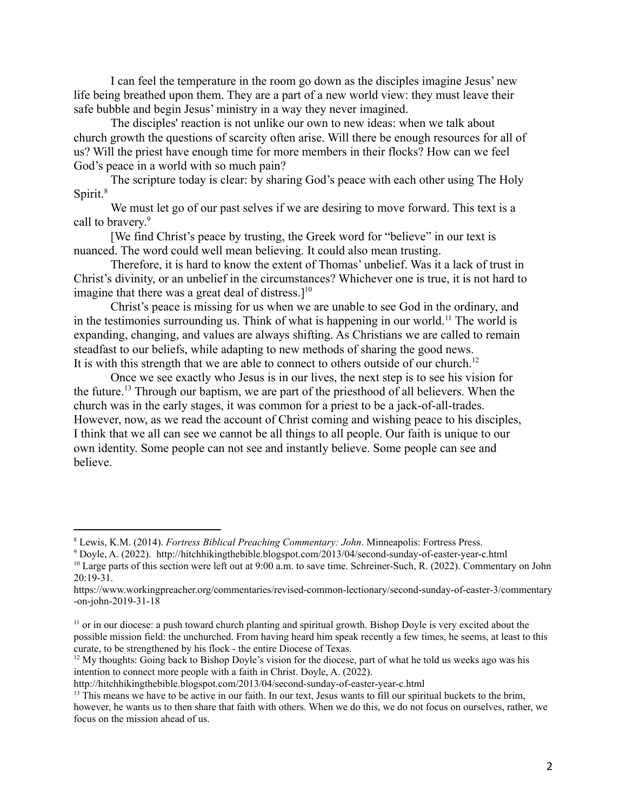I can feel the temperature in the room go down as the disciples imagine Jesus' new life being breathed upon them. They are a part of a new world view: they must leave their safe bubble and begin Jesus' ministry in a way they never imagined.

The disciples' reaction is not unlike our own to new ideas: when we talk about church growth the questions of scarcity often arise. Will there be enough resources for all of us? Will the priest have enough time for more members in their flocks? How can we feel God's peace in a world with so much pain?

The scripture today is clear: by sharing God's peace with each other using The Holy Spirit.<sup>8</sup>

We must let go of our past selves if we are desiring to move forward. This text is a call to bravery.<sup>9</sup>

[We find Christ's peace by trusting, the Greek word for "believe" in our text is nuanced. The word could well mean believing. It could also mean trusting.

Therefore, it is hard to know the extent of Thomas' unbelief. Was it a lack of trust in Christ's divinity, or an unbelief in the circumstances? Whichever one is true, it is not hard to imagine that there was a great deal of distress. $]^{10}$ 

Christ's peace is missing for us when we are unable to see God in the ordinary, and in the testimonies surrounding us. Think of what is happening in our world.<sup>11</sup> The world is expanding, changing, and values are always shifting. As Christians we are called to remain steadfast to our beliefs, while adapting to new methods of sharing the good news. It is with this strength that we are able to connect to others outside of our church.<sup>12</sup>

Once we see exactly who Jesus is in our lives, the next step is to see his vision for the future.<sup>13</sup> Through our baptism, we are part of the priesthood of all believers. When the church was in the early stages, it was common for a priest to be a jack-of-all-trades. However, now, as we read the account of Christ coming and wishing peace to his disciples, I think that we all can see we cannot be all things to all people. Our faith is unique to our own identity. Some people can not see and instantly believe. Some people can see and believe.

<sup>8</sup> Lewis, K.M. (2014). *Fortress Biblical Preaching Commentary: John*. Minneapolis: Fortress Press.

<sup>9</sup> Doyle, A. (2022). http://hitchhikingthebible.blogspot.com/2013/04/second-sunday-of-easter-year-c.html

<sup>&</sup>lt;sup>10</sup> Large parts of this section were left out at 9:00 a.m. to save time. [Schreiner-Such,](https://www.workingpreacher.org/authors/rene-such-schreiner) R. (2022). Commentary on John [20:19-31.](https://www.workingpreacher.org/authors/rene-such-schreiner)

[https://www.workingpreacher.org/commentaries/revised-common-lectionary/second-sunday-of-easter-3/commentary](https://www.workingpreacher.org/authors/rene-such-schreiner) [-on-john-2019-31-18](https://www.workingpreacher.org/authors/rene-such-schreiner)

<sup>&</sup>lt;sup>11</sup> or in our diocese: a push toward church planting and spiritual growth. Bishop Doyle is very excited about the possible mission field: the unchurched. From having heard him speak recently a few times, he seems, at least to this curate, to be strengthened by his flock - the entire Diocese of Texas.

 $12$  My thoughts: Going back to Bishop Doyle's vision for the diocese, part of what he told us weeks ago was his intention to connect more people with a faith in Christ. Doyle, A. (2022).

http://hitchhikingthebible.blogspot.com/2013/04/second-sunday-of-easter-year-c.html

<sup>&</sup>lt;sup>13</sup> This means we have to be active in our faith. In our text, Jesus wants to fill our spiritual buckets to the brim, however, he wants us to then share that faith with others. When we do this, we do not focus on ourselves, rather, we focus on the mission ahead of us.